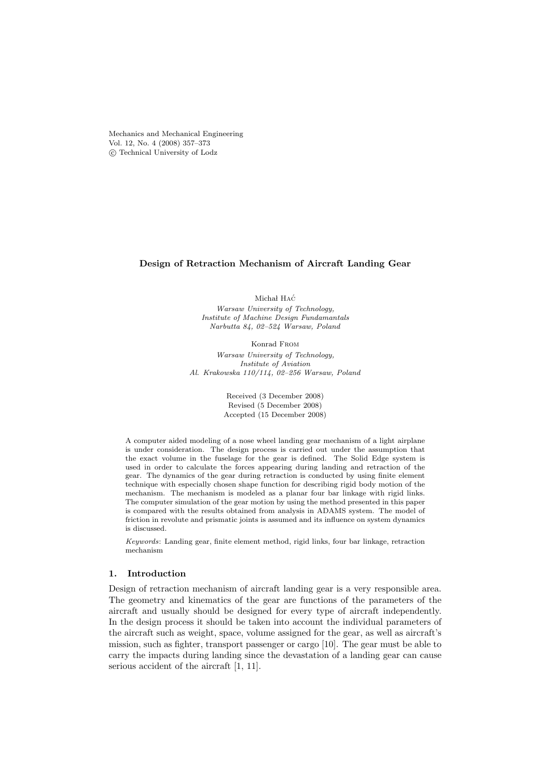Mechanics and Mechanical Engineering Vol. 12, No. 4 (2008) 357–373 © Technical University of Lodz

### Design of Retraction Mechanism of Aircraft Landing Gear

Michał HAĆ

Warsaw University of Technology, Institute of Machine Design Fundamantals Narbutta 84, 02–524 Warsaw, Poland

Konrad From Warsaw University of Technology, Institute of Aviation Al. Krakowska 110/114, 02–256 Warsaw, Poland

> Received (3 December 2008) Revised (5 December 2008) Accepted (15 December 2008)

A computer aided modeling of a nose wheel landing gear mechanism of a light airplane is under consideration. The design process is carried out under the assumption that the exact volume in the fuselage for the gear is defined. The Solid Edge system is used in order to calculate the forces appearing during landing and retraction of the gear. The dynamics of the gear during retraction is conducted by using finite element technique with especially chosen shape function for describing rigid body motion of the mechanism. The mechanism is modeled as a planar four bar linkage with rigid links. The computer simulation of the gear motion by using the method presented in this paper is compared with the results obtained from analysis in ADAMS system. The model of friction in revolute and prismatic joints is assumed and its influence on system dynamics is discussed.

Keywords: Landing gear, finite element method, rigid links, four bar linkage, retraction mechanism

# 1. Introduction

Design of retraction mechanism of aircraft landing gear is a very responsible area. The geometry and kinematics of the gear are functions of the parameters of the aircraft and usually should be designed for every type of aircraft independently. In the design process it should be taken into account the individual parameters of the aircraft such as weight, space, volume assigned for the gear, as well as aircraft's mission, such as fighter, transport passenger or cargo [10]. The gear must be able to carry the impacts during landing since the devastation of a landing gear can cause serious accident of the aircraft [1, 11].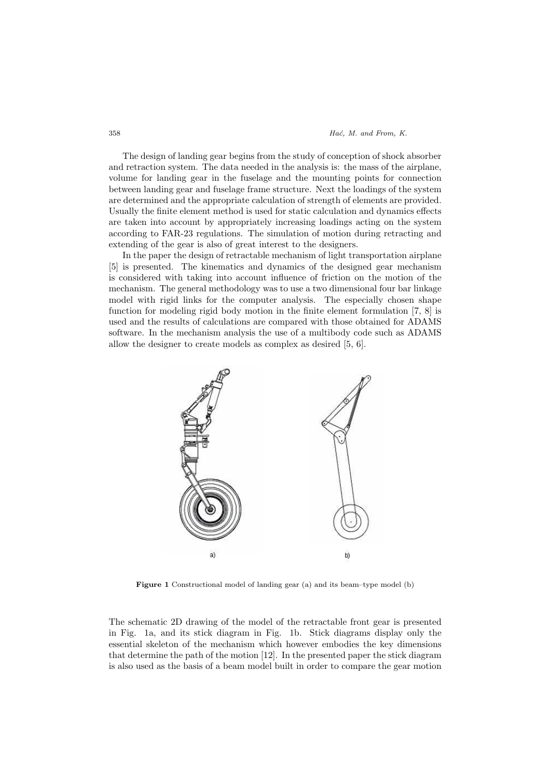#### 358 **Hac**, M. and From, K.

The design of landing gear begins from the study of conception of shock absorber and retraction system. The data needed in the analysis is: the mass of the airplane, volume for landing gear in the fuselage and the mounting points for connection between landing gear and fuselage frame structure. Next the loadings of the system are determined and the appropriate calculation of strength of elements are provided. Usually the finite element method is used for static calculation and dynamics effects are taken into account by appropriately increasing loadings acting on the system according to FAR-23 regulations. The simulation of motion during retracting and extending of the gear is also of great interest to the designers.

In the paper the design of retractable mechanism of light transportation airplane [5] is presented. The kinematics and dynamics of the designed gear mechanism is considered with taking into account influence of friction on the motion of the mechanism. The general methodology was to use a two dimensional four bar linkage model with rigid links for the computer analysis. The especially chosen shape function for modeling rigid body motion in the finite element formulation [7, 8] is used and the results of calculations are compared with those obtained for ADAMS software. In the mechanism analysis the use of a multibody code such as ADAMS allow the designer to create models as complex as desired [5, 6].



Figure 1 Constructional model of landing gear (a) and its beam–type model (b)

The schematic 2D drawing of the model of the retractable front gear is presented in Fig. 1a, and its stick diagram in Fig. 1b. Stick diagrams display only the essential skeleton of the mechanism which however embodies the key dimensions that determine the path of the motion [12]. In the presented paper the stick diagram is also used as the basis of a beam model built in order to compare the gear motion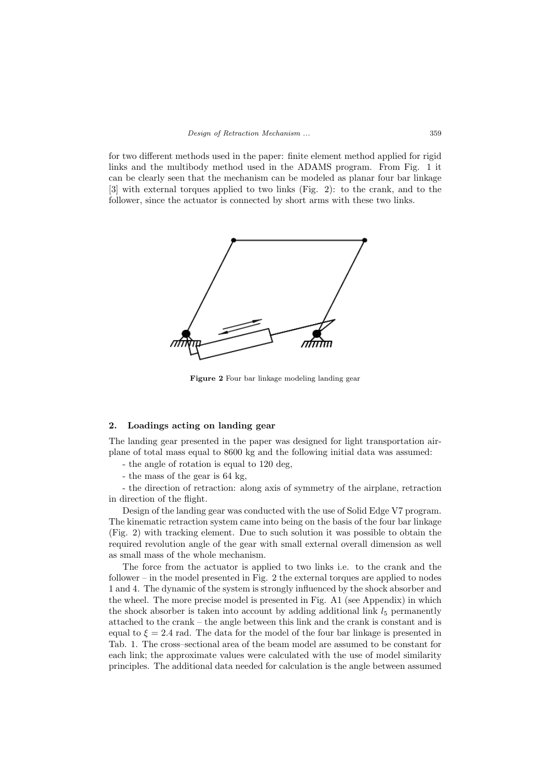for two different methods used in the paper: finite element method applied for rigid links and the multibody method used in the ADAMS program. From Fig. 1 it can be clearly seen that the mechanism can be modeled as planar four bar linkage [3] with external torques applied to two links (Fig. 2): to the crank, and to the follower, since the actuator is connected by short arms with these two links.



Figure 2 Four bar linkage modeling landing gear

# 2. Loadings acting on landing gear

The landing gear presented in the paper was designed for light transportation airplane of total mass equal to 8600 kg and the following initial data was assumed:

- the angle of rotation is equal to 120 deg,
- the mass of the gear is 64 kg,

- the direction of retraction: along axis of symmetry of the airplane, retraction in direction of the flight.

Design of the landing gear was conducted with the use of Solid Edge V7 program. The kinematic retraction system came into being on the basis of the four bar linkage (Fig. 2) with tracking element. Due to such solution it was possible to obtain the required revolution angle of the gear with small external overall dimension as well as small mass of the whole mechanism.

The force from the actuator is applied to two links i.e. to the crank and the follower – in the model presented in Fig. 2 the external torques are applied to nodes 1 and 4. The dynamic of the system is strongly influenced by the shock absorber and the wheel. The more precise model is presented in Fig. A1 (see Appendix) in which the shock absorber is taken into account by adding additional link  $l_5$  permanently attached to the crank – the angle between this link and the crank is constant and is equal to  $\xi = 2.4$  rad. The data for the model of the four bar linkage is presented in Tab. 1. The cross–sectional area of the beam model are assumed to be constant for each link; the approximate values were calculated with the use of model similarity principles. The additional data needed for calculation is the angle between assumed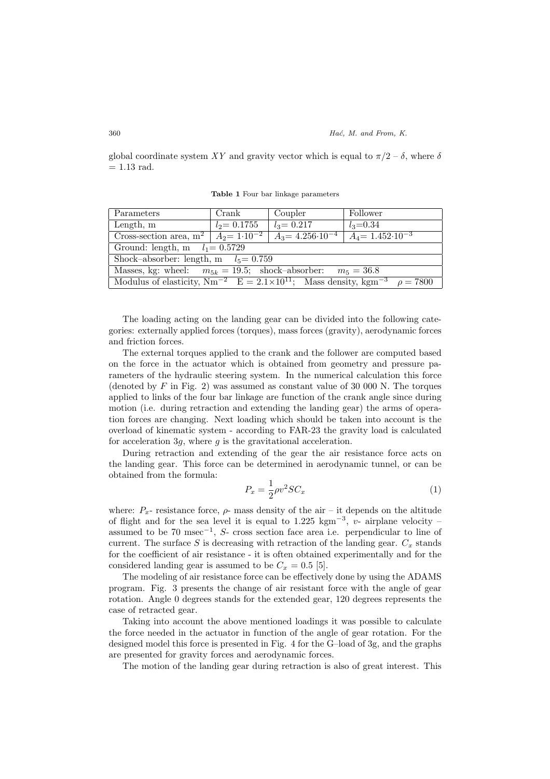global coordinate system XY and gravity vector which is equal to  $\pi/2 - \delta$ , where  $\delta$  $= 1.13$  rad.

Table 1 Four bar linkage parameters

| Parameters                                                                                                | Crank          | Coupler                                                 | Follower     |
|-----------------------------------------------------------------------------------------------------------|----------------|---------------------------------------------------------|--------------|
| Length, $m$                                                                                               | $l_2$ = 0.1755 | $l_3 = 0.217$                                           | $l_3 = 0.34$ |
| Cross-section area, $m^2$ $A_2 = 1 \cdot 10^{-2}$                                                         |                | $A_3 = 4.256 \cdot 10^{-4}$ $A_4 = 1.452 \cdot 10^{-3}$ |              |
| Ground: length, m $l_1 = 0.5729$                                                                          |                |                                                         |              |
| Shock-absorber: length, m $l_5 = 0.759$                                                                   |                |                                                         |              |
| Masses, kg: wheel: $m_{5k} = 19.5$ ; shock-absorber: $m_5 = 36.8$                                         |                |                                                         |              |
| Modulus of elasticity, $Nm^{-2}$ $E = 2.1 \times 10^{11}$ ; Mass density, kgm <sup>-3</sup> $\rho = 7800$ |                |                                                         |              |

The loading acting on the landing gear can be divided into the following categories: externally applied forces (torques), mass forces (gravity), aerodynamic forces and friction forces.

The external torques applied to the crank and the follower are computed based on the force in the actuator which is obtained from geometry and pressure parameters of the hydraulic steering system. In the numerical calculation this force (denoted by F in Fig. 2) was assumed as constant value of 30 000 N. The torques applied to links of the four bar linkage are function of the crank angle since during motion (i.e. during retraction and extending the landing gear) the arms of operation forces are changing. Next loading which should be taken into account is the overload of kinematic system - according to FAR-23 the gravity load is calculated for acceleration 3g, where  $g$  is the gravitational acceleration.

During retraction and extending of the gear the air resistance force acts on the landing gear. This force can be determined in aerodynamic tunnel, or can be obtained from the formula:

$$
P_x = \frac{1}{2}\rho v^2 SC_x \tag{1}
$$

where:  $P_x$ - resistance force,  $\rho$ - mass density of the air – it depends on the altitude of flight and for the sea level it is equal to  $1.225 \text{ kgm}^{-3}$ , v- airplane velocity – assumed to be 70 msec<sup>−</sup><sup>1</sup> , S- cross section face area i.e. perpendicular to line of current. The surface  $S$  is decreasing with retraction of the landing gear.  $C_x$  stands for the coefficient of air resistance - it is often obtained experimentally and for the considered landing gear is assumed to be  $C_x = 0.5$  [5].

The modeling of air resistance force can be effectively done by using the ADAMS program. Fig. 3 presents the change of air resistant force with the angle of gear rotation. Angle 0 degrees stands for the extended gear, 120 degrees represents the case of retracted gear.

Taking into account the above mentioned loadings it was possible to calculate the force needed in the actuator in function of the angle of gear rotation. For the designed model this force is presented in Fig. 4 for the G–load of 3g, and the graphs are presented for gravity forces and aerodynamic forces.

The motion of the landing gear during retraction is also of great interest. This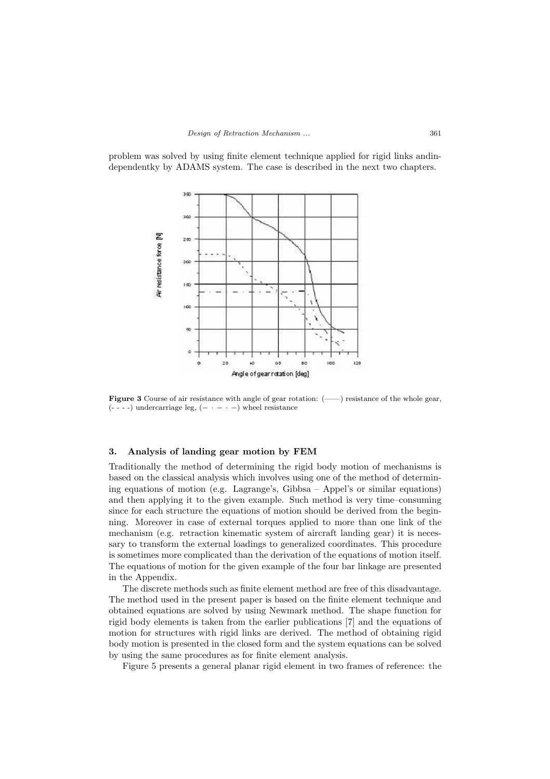problem was solved by using finite element technique applied for rigid links andindependentky by ADAMS system. The case is described in the next two chapters.



Figure 3 Course of air resistance with angle of gear rotation: (-----) resistance of the whole gear,  $(- - - -)$  undercarriage leg,  $(- - - -)$  wheel resistance

# 3. Analysis of landing gear motion by FEM

Traditionally the method of determining the rigid body motion of mechanisms is based on the classical analysis which involves using one of the method of determining equations of motion (e.g. Lagrange's, Gibbsa – Appel's or similar equations) and then applying it to the given example. Such method is very time–consuming since for each structure the equations of motion should be derived from the beginning. Moreover in case of external torques applied to more than one link of the mechanism (e.g. retraction kinematic system of aircraft landing gear) it is necessary to transform the external loadings to generalized coordinates. This procedure is sometimes more complicated than the derivation of the equations of motion itself. The equations of motion for the given example of the four bar linkage are presented in the Appendix.

The discrete methods such as finite element method are free of this disadvantage. The method used in the present paper is based on the finite element technique and obtained equations are solved by using Newmark method. The shape function for rigid body elements is taken from the earlier publications [7] and the equations of motion for structures with rigid links are derived. The method of obtaining rigid body motion is presented in the closed form and the system equations can be solved by using the same procedures as for finite element analysis.

Figure 5 presents a general planar rigid element in two frames of reference: the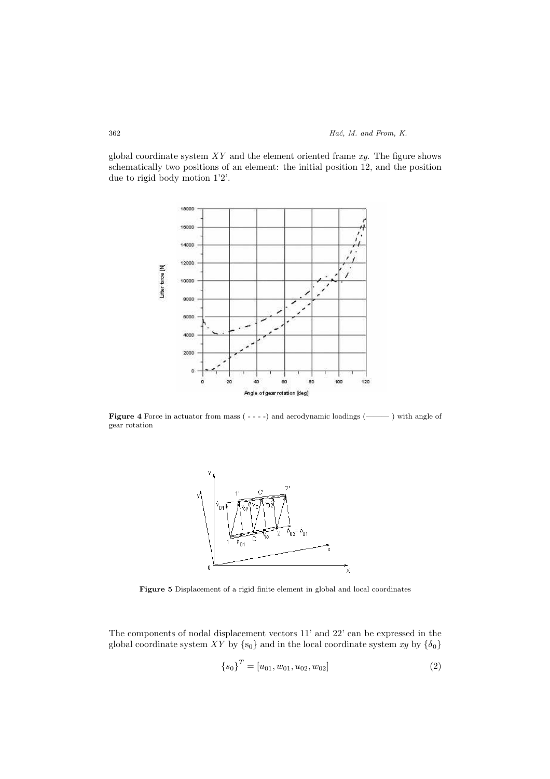global coordinate system  $XY$  and the element oriented frame  $xy$ . The figure shows schematically two positions of an element: the initial position 12, and the position due to rigid body motion 1'2'.



Figure 4 Force in actuator from mass ( - - - -) and aerodynamic loadings (- - - ) with angle of gear rotation



Figure 5 Displacement of a rigid finite element in global and local coordinates

The components of nodal displacement vectors 11' and 22' can be expressed in the global coordinate system XY by  $\{s_0\}$  and in the local coordinate system  $xy$  by  $\{\delta_0\}$ 

$$
{s_0}^T = [u_{01}, w_{01}, u_{02}, w_{02}]
$$
 (2)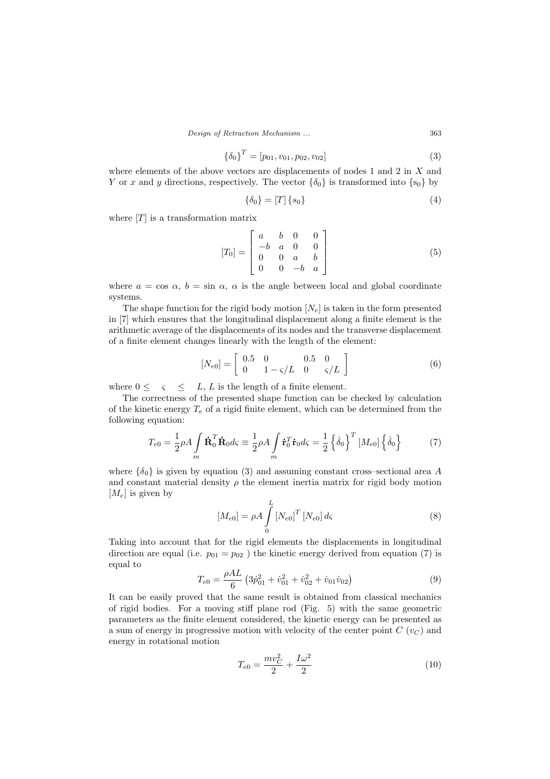Design of Retraction Mechanism ... 363

$$
\{\delta_0\}^T = [p_{01}, v_{01}, p_{02}, v_{02}] \tag{3}
$$

where elements of the above vectors are displacements of nodes 1 and 2 in X and Y or x and y directions, respectively. The vector  $\{\delta_0\}$  is transformed into  $\{s_0\}$  by

$$
\{\delta_0\} = [T] \{s_0\} \tag{4}
$$

where  $[T]$  is a transformation matrix

$$
[T_0] = \begin{bmatrix} a & b & 0 & 0 \\ -b & a & 0 & 0 \\ 0 & 0 & a & b \\ 0 & 0 & -b & a \end{bmatrix}
$$
 (5)

where  $a = \cos \alpha$ ,  $b = \sin \alpha$ ,  $\alpha$  is the angle between local and global coordinate systems.

The shape function for the rigid body motion  $[N_e]$  is taken in the form presented in [7] which ensures that the longitudinal displacement along a finite element is the arithmetic average of the displacements of its nodes and the transverse displacement of a finite element changes linearly with the length of the element:

$$
[N_{e0}] = \begin{bmatrix} 0.5 & 0 & 0.5 & 0 \\ 0 & 1 - \varsigma/L & 0 & \varsigma/L \end{bmatrix}
$$
 (6)

where  $0 \leq \varsigma \leq L$ , L is the length of a finite element.

The correctness of the presented shape function can be checked by calculation of the kinetic energy  $T_e$  of a rigid finite element, which can be determined from the following equation:

$$
T_{e0} = \frac{1}{2}\rho A \int_{m} \dot{\mathbf{R}}_{0}^{T} \dot{\mathbf{R}}_{0} d\varsigma \equiv \frac{1}{2}\rho A \int_{m} \dot{\mathbf{r}}_{0}^{T} \dot{\mathbf{r}}_{0} d\varsigma = \frac{1}{2} \left\{ \dot{\delta}_{0} \right\}^{T} \left[ M_{e0} \right] \left\{ \dot{\delta}_{0} \right\} \tag{7}
$$

where  $\{\delta_0\}$  is given by equation (3) and assuming constant cross–sectional area A and constant material density  $\rho$  the element inertia matrix for rigid body motion  $[M_e]$  is given by

$$
[M_{e0}] = \rho A \int_{0}^{L} [N_{e0}]^{T} [N_{e0}] d\varsigma
$$
 (8)

Taking into account that for the rigid elements the displacements in longitudinal direction are equal (i.e.  $p_{01} = p_{02}$ ) the kinetic energy derived from equation (7) is equal to

$$
T_{e0} = \frac{\rho A L}{6} \left( 3 \dot{p}_{01}^2 + \dot{v}_{01}^2 + \dot{v}_{02}^2 + \dot{v}_{01} \dot{v}_{02} \right)
$$
 (9)

It can be easily proved that the same result is obtained from classical mechanics of rigid bodies. For a moving stiff plane rod (Fig. 5) with the same geometric parameters as the finite element considered, the kinetic energy can be presented as a sum of energy in progressive motion with velocity of the center point  $C(v_C)$  and energy in rotational motion

$$
T_{e0} = \frac{mv_C^2}{2} + \frac{I\omega^2}{2}
$$
 (10)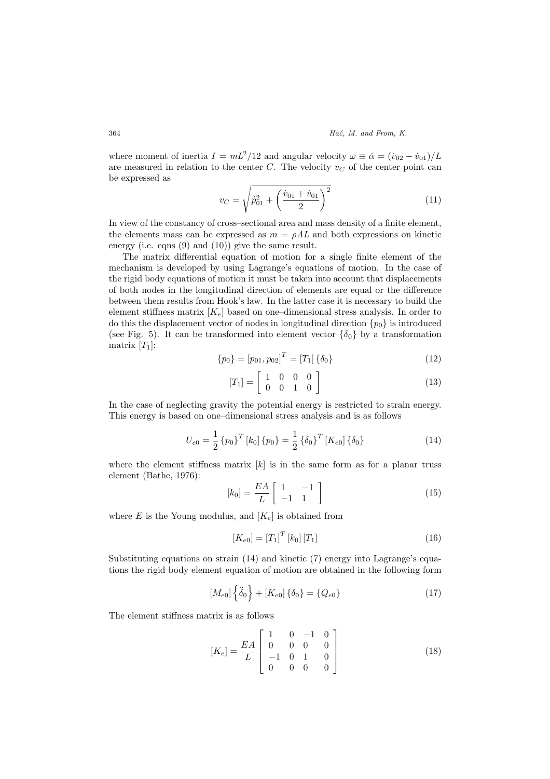where moment of inertia  $I = mL^2/12$  and angular velocity  $\omega \equiv \dot{\alpha} = (\dot{v}_{02} - \dot{v}_{01})/L$ are measured in relation to the center  $C$ . The velocity  $v<sub>C</sub>$  of the center point can be expressed as s

$$
v_C = \sqrt{\dot{p}_{01}^2 + \left(\frac{\dot{v}_{01} + \dot{v}_{01}}{2}\right)^2}
$$
\n(11)

In view of the constancy of cross–sectional area and mass density of a finite element, the elements mass can be expressed as  $m = \rho A L$  and both expressions on kinetic energy (i.e. eqns (9) and (10)) give the same result.

The matrix differential equation of motion for a single finite element of the mechanism is developed by using Lagrange's equations of motion. In the case of the rigid body equations of motion it must be taken into account that displacements of both nodes in the longitudinal direction of elements are equal or the difference between them results from Hook's law. In the latter case it is necessary to build the element stiffness matrix  $[K_e]$  based on one–dimensional stress analysis. In order to do this the displacement vector of nodes in longitudinal direction  $\{p_0\}$  is introduced (see Fig. 5). It can be transformed into element vector  $\{\delta_0\}$  by a transformation matrix  $[T_1]$ :

$$
\{p_0\} = [p_{01}, p_{02}]^T = [T_1] \{\delta_0\} \tag{12}
$$

$$
[T_1] = \left[ \begin{array}{rrr} 1 & 0 & 0 & 0 \\ 0 & 0 & 1 & 0 \end{array} \right] \tag{13}
$$

In the case of neglecting gravity the potential energy is restricted to strain energy. This energy is based on one–dimensional stress analysis and is as follows

$$
U_{e0} = \frac{1}{2} \left\{ p_0 \right\}^T [k_0] \left\{ p_0 \right\} = \frac{1}{2} \left\{ \delta_0 \right\}^T [K_{e0}] \left\{ \delta_0 \right\} \tag{14}
$$

where the element stiffness matrix  $[k]$  is in the same form as for a planar truss element (Bathe, 1976): ·

$$
[k_0] = \frac{EA}{L} \left[ \begin{array}{cc} 1 & -1 \\ -1 & 1 \end{array} \right] \tag{15}
$$

where E is the Young modulus, and  $[K_e]$  is obtained from

$$
[K_{e0}] = [T_1]^T [k_0] [T_1]
$$
\n
$$
(16)
$$

Substituting equations on strain (14) and kinetic (7) energy into Lagrange's equations the rigid body element equation of motion are obtained in the following form

$$
[M_{e0}] \{\ddot{\delta}_0\} + [K_{e0}] \{\delta_0\} = \{Q_{e0}\}
$$
 (17)

The element stiffness matrix is as follows

$$
[K_e] = \frac{EA}{L} \begin{bmatrix} 1 & 0 & -1 & 0 \\ 0 & 0 & 0 & 0 \\ -1 & 0 & 1 & 0 \\ 0 & 0 & 0 & 0 \end{bmatrix}
$$
 (18)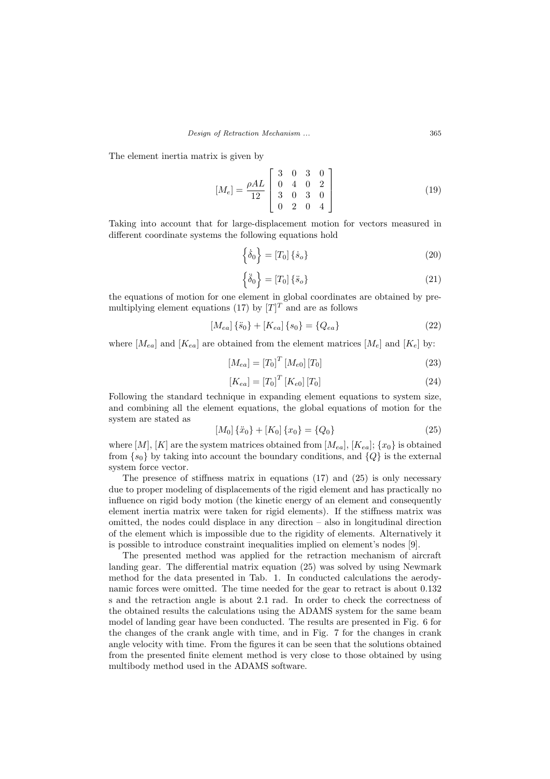The element inertia matrix is given by

$$
[M_e] = \frac{\rho A L}{12} \begin{bmatrix} 3 & 0 & 3 & 0 \\ 0 & 4 & 0 & 2 \\ 3 & 0 & 3 & 0 \\ 0 & 2 & 0 & 4 \end{bmatrix}
$$
 (19)

Taking into account that for large-displacement motion for vectors measured in different coordinate systems the following equations hold

$$
\left\{\dot{\delta}_0\right\} = \left[T_0\right]\left\{\dot{s}_o\right\} \tag{20}
$$

$$
\left\{\ddot{\delta}_0\right\} = \left[T_0\right]\left\{\ddot{s}_o\right\} \tag{21}
$$

the equations of motion for one element in global coordinates are obtained by premultiplying element equations (17) by  $[T]^T$  and are as follows

$$
[M_{ea}] \{\ddot{s}_0\} + [K_{ea}] \{s_0\} = \{Q_{ea}\}\tag{22}
$$

where  $[M_{ea}]$  and  $[K_{ea}]$  are obtained from the element matrices  $[M_e]$  and  $[K_e]$  by:

$$
[M_{ea}] = [T_0]^T [M_{e0}] [T_0]
$$
\n(23)

$$
[K_{ea}] = [T_0]^T [K_{e0}] [T_0]
$$
\n(24)

Following the standard technique in expanding element equations to system size, and combining all the element equations, the global equations of motion for the system are stated as

$$
[M_0] \{\ddot{x}_0\} + [K_0] \{x_0\} = \{Q_0\} \tag{25}
$$

where  $[M], [K]$  are the system matrices obtained from  $[M_{ea}]$ ,  $[K_{ea}]$ ;  $\{x_0\}$  is obtained from  $\{s_0\}$  by taking into account the boundary conditions, and  $\{Q\}$  is the external system force vector.

The presence of stiffness matrix in equations  $(17)$  and  $(25)$  is only necessary due to proper modeling of displacements of the rigid element and has practically no influence on rigid body motion (the kinetic energy of an element and consequently element inertia matrix were taken for rigid elements). If the stiffness matrix was omitted, the nodes could displace in any direction – also in longitudinal direction of the element which is impossible due to the rigidity of elements. Alternatively it is possible to introduce constraint inequalities implied on element's nodes [9].

The presented method was applied for the retraction mechanism of aircraft landing gear. The differential matrix equation (25) was solved by using Newmark method for the data presented in Tab. 1. In conducted calculations the aerodynamic forces were omitted. The time needed for the gear to retract is about 0.132 s and the retraction angle is about 2.1 rad. In order to check the correctness of the obtained results the calculations using the ADAMS system for the same beam model of landing gear have been conducted. The results are presented in Fig. 6 for the changes of the crank angle with time, and in Fig. 7 for the changes in crank angle velocity with time. From the figures it can be seen that the solutions obtained from the presented finite element method is very close to those obtained by using multibody method used in the ADAMS software.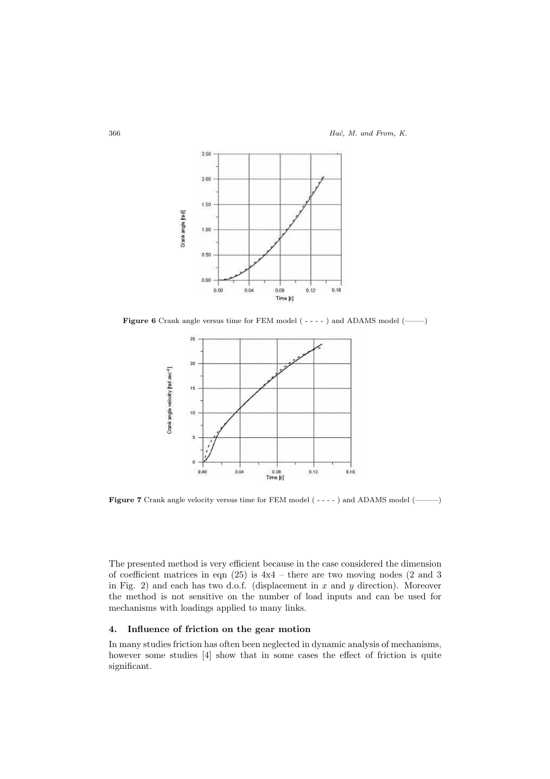

Figure 6 Crank angle versus time for FEM model ( - - - - ) and ADAMS model (——–)



Figure 7 Crank angle velocity versus time for FEM model ( - - - - ) and ADAMS model (———)

The presented method is very efficient because in the case considered the dimension of coefficient matrices in eqn (25) is 4x4 – there are two moving nodes (2 and 3 in Fig. 2) and each has two d.o.f. (displacement in  $x$  and  $y$  direction). Moreover the method is not sensitive on the number of load inputs and can be used for mechanisms with loadings applied to many links.

# 4. Influence of friction on the gear motion

In many studies friction has often been neglected in dynamic analysis of mechanisms, however some studies [4] show that in some cases the effect of friction is quite significant.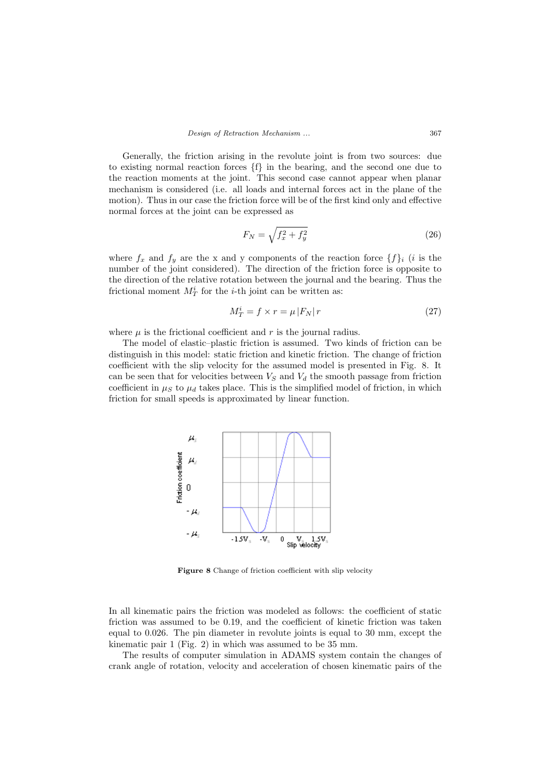Generally, the friction arising in the revolute joint is from two sources: due to existing normal reaction forces  ${f}$  in the bearing, and the second one due to the reaction moments at the joint. This second case cannot appear when planar mechanism is considered (i.e. all loads and internal forces act in the plane of the motion). Thus in our case the friction force will be of the first kind only and effective normal forces at the joint can be expressed as

$$
F_N = \sqrt{f_x^2 + f_y^2} \tag{26}
$$

where  $f_x$  and  $f_y$  are the x and y components of the reaction force  $\{f\}_i$  (i is the number of the joint considered). The direction of the friction force is opposite to the direction of the relative rotation between the journal and the bearing. Thus the frictional moment  $M_T^i$  for the *i*-th joint can be written as:

$$
M_T^i = f \times r = \mu |F_N|r
$$
\n(27)

where  $\mu$  is the frictional coefficient and r is the journal radius.

The model of elastic–plastic friction is assumed. Two kinds of friction can be distinguish in this model: static friction and kinetic friction. The change of friction coefficient with the slip velocity for the assumed model is presented in Fig. 8. It can be seen that for velocities between  $V_S$  and  $V_d$  the smooth passage from friction coefficient in  $\mu_S$  to  $\mu_d$  takes place. This is the simplified model of friction, in which friction for small speeds is approximated by linear function.



Figure 8 Change of friction coefficient with slip velocity

In all kinematic pairs the friction was modeled as follows: the coefficient of static friction was assumed to be 0.19, and the coefficient of kinetic friction was taken equal to 0.026. The pin diameter in revolute joints is equal to 30 mm, except the kinematic pair 1 (Fig. 2) in which was assumed to be 35 mm.

The results of computer simulation in ADAMS system contain the changes of crank angle of rotation, velocity and acceleration of chosen kinematic pairs of the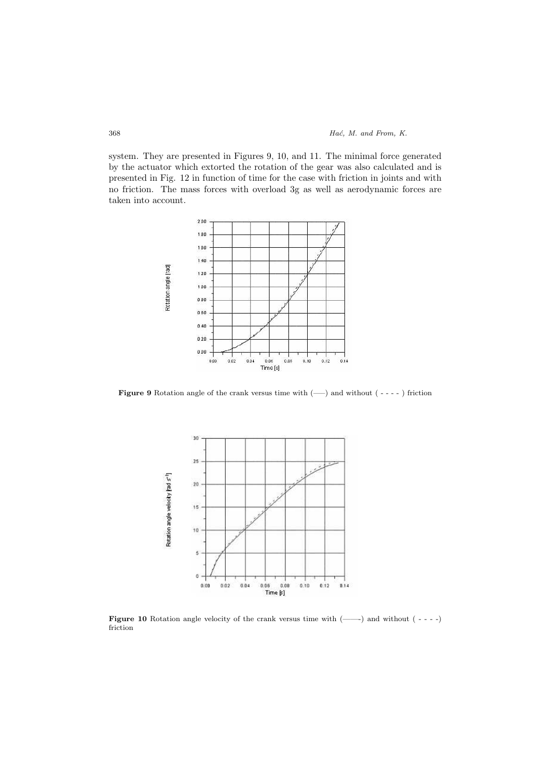system. They are presented in Figures 9, 10, and 11. The minimal force generated by the actuator which extorted the rotation of the gear was also calculated and is presented in Fig. 12 in function of time for the case with friction in joints and with no friction. The mass forces with overload 3g as well as aerodynamic forces are taken into account.



Figure 9 Rotation angle of the crank versus time with  $(-)$  and without  $(- - -)$  friction



Figure 10 Rotation angle velocity of the crank versus time with (——-) and without ( - - - -) friction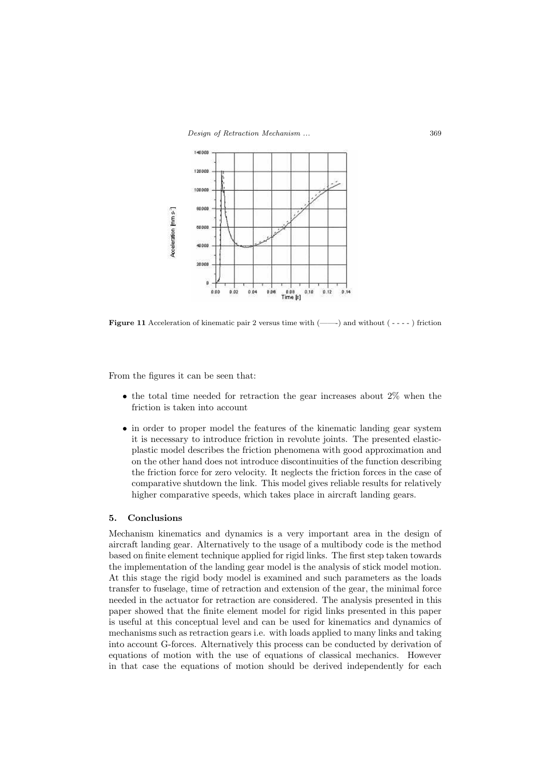

**Figure 11** Acceleration of kinematic pair 2 versus time with  $(\_\_\)$  and without  $(\_\_\)_$  friction

From the figures it can be seen that:

- the total time needed for retraction the gear increases about 2% when the friction is taken into account
- in order to proper model the features of the kinematic landing gear system it is necessary to introduce friction in revolute joints. The presented elasticplastic model describes the friction phenomena with good approximation and on the other hand does not introduce discontinuities of the function describing the friction force for zero velocity. It neglects the friction forces in the case of comparative shutdown the link. This model gives reliable results for relatively higher comparative speeds, which takes place in aircraft landing gears.

# 5. Conclusions

Mechanism kinematics and dynamics is a very important area in the design of aircraft landing gear. Alternatively to the usage of a multibody code is the method based on finite element technique applied for rigid links. The first step taken towards the implementation of the landing gear model is the analysis of stick model motion. At this stage the rigid body model is examined and such parameters as the loads transfer to fuselage, time of retraction and extension of the gear, the minimal force needed in the actuator for retraction are considered. The analysis presented in this paper showed that the finite element model for rigid links presented in this paper is useful at this conceptual level and can be used for kinematics and dynamics of mechanisms such as retraction gears i.e. with loads applied to many links and taking into account G-forces. Alternatively this process can be conducted by derivation of equations of motion with the use of equations of classical mechanics. However in that case the equations of motion should be derived independently for each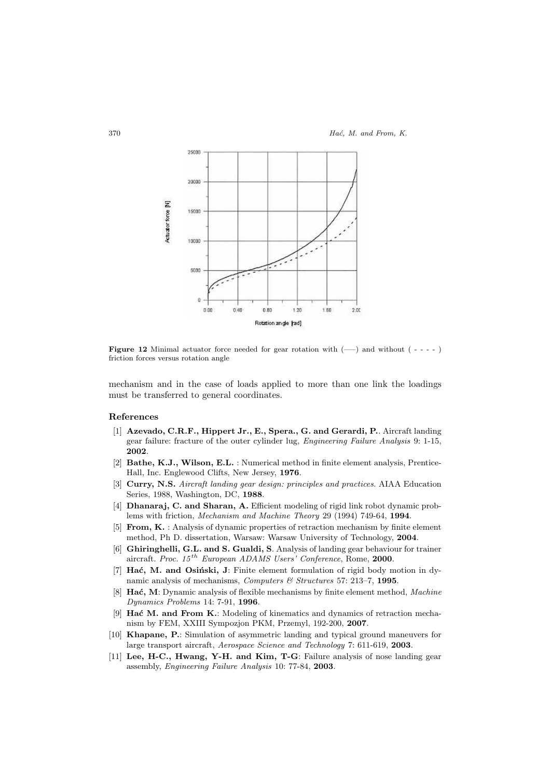

Figure 12 Minimal actuator force needed for gear rotation with  $(-)$  and without  $(- - - -)$ friction forces versus rotation angle

mechanism and in the case of loads applied to more than one link the loadings must be transferred to general coordinates.

### References

- [1] Azevado, C.R.F., Hippert Jr., E., Spera., G. and Gerardi, P.. Aircraft landing gear failure: fracture of the outer cylinder lug, Engineering Failure Analysis 9: 1-15, 2002.
- [2] Bathe, K.J., Wilson, E.L. : Numerical method in finite element analysis, Prentice-Hall, Inc. Englewood Clifts, New Jersey, 1976.
- [3] Curry, N.S. Aircraft landing gear design: principles and practices. AIAA Education Series, 1988, Washington, DC, 1988.
- [4] Dhanaraj, C. and Sharan, A. Efficient modeling of rigid link robot dynamic problems with friction, Mechanism and Machine Theory 29 (1994) 749-64, 1994.
- [5] From, K. : Analysis of dynamic properties of retraction mechanism by finite element method, Ph D. dissertation, Warsaw: Warsaw University of Technology, 2004.
- [6] Ghiringhelli, G.L. and S. Gualdi, S. Analysis of landing gear behaviour for trainer aircraft. Proc.  $15^{th}$  European ADAMS Users' Conference, Rome, 2000.
- $[7]$  Hać, M. and Osiński, J: Finite element formulation of rigid body motion in dynamic analysis of mechanisms, Computers  $\mathcal C$  Structures 57: 213-7, 1995.
- [8] Hać, M: Dynamic analysis of flexible mechanisms by finite element method, Machine Dynamics Problems 14: 7-91, 1996.
- [9] Hać M. and From K.: Modeling of kinematics and dynamics of retraction mechanism by FEM, XXIII Sympozjon PKM, Przemyl, 192-200, 2007.
- [10] Khapane, P.: Simulation of asymmetric landing and typical ground maneuvers for large transport aircraft, Aerospace Science and Technology 7: 611-619, 2003.
- [11] Lee, H-C., Hwang, Y-H. and Kim, T-G: Failure analysis of nose landing gear assembly, Engineering Failure Analysis 10: 77-84, 2003.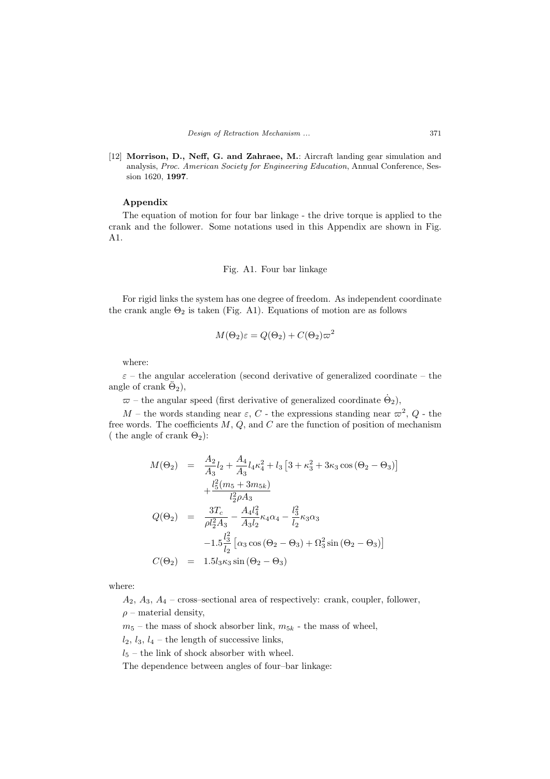[12] Morrison, D., Neff, G. and Zahraee, M.: Aircraft landing gear simulation and analysis, Proc. American Society for Engineering Education, Annual Conference, Session 1620, 1997.

#### Appendix

The equation of motion for four bar linkage - the drive torque is applied to the crank and the follower. Some notations used in this Appendix are shown in Fig. A1.

# Fig. A1. Four bar linkage

For rigid links the system has one degree of freedom. As independent coordinate the crank angle  $\Theta_2$  is taken (Fig. A1). Equations of motion are as follows

$$
M(\Theta_2)\varepsilon = Q(\Theta_2) + C(\Theta_2)\varpi^2
$$

where:

 $\varepsilon$  – the angular acceleration (second derivative of generalized coordinate – the angle of crank  $\ddot{\Theta}_2$ ),

 $\bar{\omega}$  – the angular speed (first derivative of generalized coordinate  $\dot{\Theta}_2$ ),

M – the words standing near  $\varepsilon$ , C - the expressions standing near  $\varpi^2$ , Q - the free words. The coefficients  $M, Q$ , and  $C$  are the function of position of mechanism ( the angle of crank  $\Theta_2$ ):

$$
M(\Theta_2) = \frac{A_2}{A_3} l_2 + \frac{A_4}{A_3} l_4 \kappa_4^2 + l_3 \left[ 3 + \kappa_3^2 + 3\kappa_3 \cos (\Theta_2 - \Theta_3) \right]
$$
  
+ 
$$
\frac{l_5^2 (m_5 + 3m_{5k})}{l_2^2 \rho A_3}
$$
  

$$
Q(\Theta_2) = \frac{3T_c}{\rho l_2^2 A_3} - \frac{A_4 l_4^2}{A_3 l_2} \kappa_4 \alpha_4 - \frac{l_3^2}{l_2} \kappa_3 \alpha_3
$$
  
- 
$$
1.5 \frac{l_3^2}{l_2} \left[ \alpha_3 \cos (\Theta_2 - \Theta_3) + \Omega_3^2 \sin (\Theta_2 - \Theta_3) \right]
$$
  

$$
C(\Theta_2) = 1.5 l_3 \kappa_3 \sin (\Theta_2 - \Theta_3)
$$

where:

 $A_2, A_3, A_4$  – cross–sectional area of respectively: crank, coupler, follower,  $\rho$  – material density,

 $m_5$  – the mass of shock absorber link,  $m_{5k}$  - the mass of wheel,

 $l_2$ ,  $l_3$ ,  $l_4$  – the length of successive links,

 $l_{5}$  – the link of shock absorber with wheel.

The dependence between angles of four–bar linkage: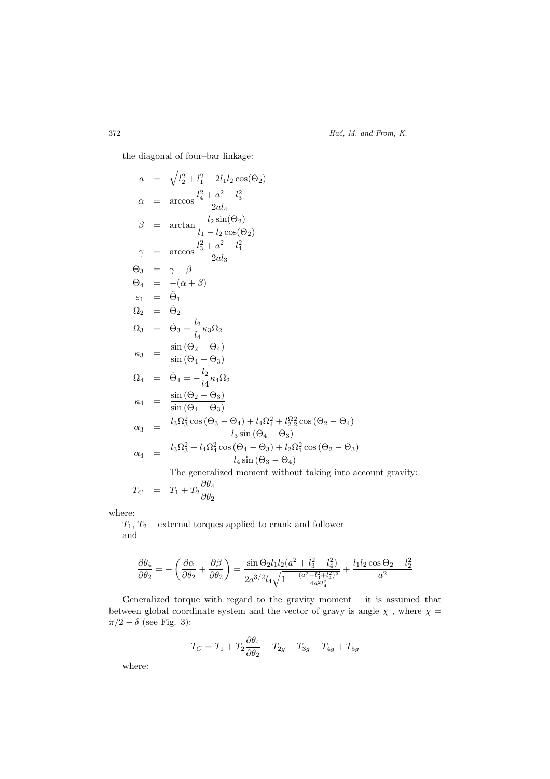372 *Hać, M. and From, K.* 

the diagonal of four–bar linkage:

$$
a = \sqrt{l_2^2 + l_1^2 - 2l_1l_2 \cos(\Theta_2)}
$$
  
\n
$$
\alpha = \arccos \frac{l_2^2 + a^2 - l_3^2}{2al_4}
$$
  
\n
$$
\beta = \arctan \frac{l_2 \sin(\Theta_2)}{l_1 - l_2 \cos(\Theta_2)}
$$
  
\n
$$
\gamma = \arccos \frac{l_3^2 + a^2 - l_4^2}{2al_3}
$$
  
\n
$$
\Theta_3 = \gamma - \beta
$$
  
\n
$$
\Theta_4 = -(\alpha + \beta)
$$
  
\n
$$
\varepsilon_1 = \ddot{\Theta}_1
$$
  
\n
$$
\Omega_2 = \dot{\Theta}_2
$$
  
\n
$$
\Omega_3 = \dot{\Theta}_3 = \frac{l_2}{l_4} \kappa_3 \Omega_2
$$
  
\n
$$
\kappa_3 = \frac{\sin(\Theta_2 - \Theta_4)}{\sin(\Theta_4 - \Theta_3)}
$$
  
\n
$$
\Omega_4 = \dot{\Theta}_4 = -\frac{l_2}{l_4} \kappa_4 \Omega_2
$$
  
\n
$$
\kappa_4 = \frac{\sin(\Theta_2 - \Theta_3)}{\sin(\Theta_4 - \Theta_3)}
$$
  
\n
$$
\alpha_3 = \frac{l_3 \Omega_3^2 \cos(\Theta_3 - \Theta_4) + l_4 \Omega_4^2 + l_2^{\Omega_2^2} \cos(\Theta_2 - \Theta_4)}{l_3 \sin(\Theta_4 - \Theta_3)}
$$
  
\n
$$
\alpha_4 = \frac{l_3 \Omega_3^2 + l_4 \Omega_4^2 \cos(\Theta_4 - \Theta_3) + l_2 \Omega_1^2 \cos(\Theta_2 - \Theta_3)}{l_4 \sin(\Theta_3 - \Theta_4)}
$$
  
\nThe generalized moment without taking into account gravity:

$$
T_C = T_1 + T_2 \frac{\partial \theta_4}{\partial \theta_2}
$$

where:

 $T_1, T_2$  – external torques applied to crank and follower and

$$
\frac{\partial \theta_4}{\partial \theta_2} = -\left(\frac{\partial \alpha}{\partial \theta_2} + \frac{\partial \beta}{\partial \theta_2}\right) = \frac{\sin \Theta_2 l_1 l_2 (a^2 + l_3^2 - l_4^2)}{2a^{3/2}l_4 \sqrt{1 - \frac{(a^2 - l_3^2 + l_4^2)^2}{4a^2 l_4^2}}} + \frac{l_1 l_2 \cos \Theta_2 - l_2^2}{a^2}
$$

Generalized torque with regard to the gravity moment – it is assumed that between global coordinate system and the vector of gravy is angle  $\chi$  , where  $\chi$  =  $\pi/2 - \delta$  (see Fig. 3):

$$
T_C = T_1 + T_2 \frac{\partial \theta_4}{\partial \theta_2} - T_{2g} - T_{3g} - T_{4g} + T_{5g}
$$

where: